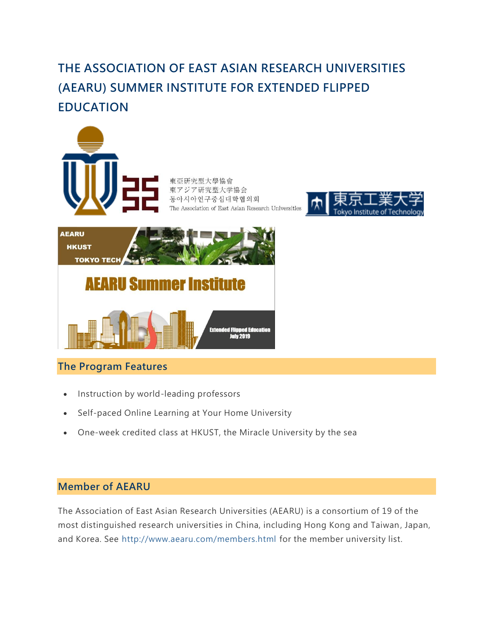# **THE ASSOCIATION OF EAST ASIAN RESEARCH UNIVERSITIES (AEARU) SUMMER INSTITUTE FOR EXTENDED FLIPPED EDUCATION**



## **The Program Features**

- Instruction by world-leading professors
- Self-paced Online Learning at Your Home University
- One-week credited class at HKUST, the Miracle University by the sea

### **Member of AEARU**

The Association of East Asian Research Universities (AEARU) is a consortium of 19 of the most distinguished research universities in China, including Hong Kong and Taiwan, Japan, and Korea. See <http://www.aearu.com/members.html> for the member university list.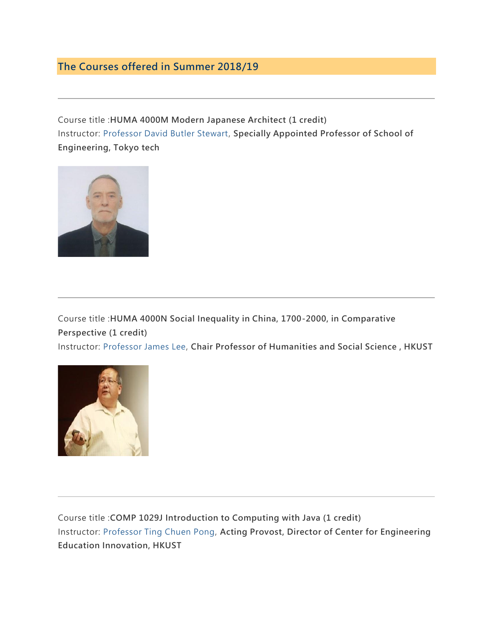### **The Courses offered in Summer 2018/19**

Course title :**HUMA 4000M Modern Japanese Architect (1 credit)** Instructor: [Professor David Butler Stewart,](http://t2r2.star.titech.ac.jp/cgi-bin/researcherinfo.cgi?lv=en&q_researcher_content_number=CTT100512560) **Specially Appointed Professor of School of Engineering, Tokyo tech**



Course title :**HUMA 4000N Social Inequality in China, 1700-2000, in Comparative Perspective (1 credit)** Instructor: [Professor James Lee,](https://sosc.ust.hk/blog/faculty/jqljzl/) **Chair Professor of Humanities and Social Science , HKUST**



Course title :**COMP 1029J Introduction to Computing with Java (1 credit)** Instructor: [Professor Ting Chuen Pong,](https://www.seng.ust.hk/web/eng/people_detail.php?id=99) **Acting Provost, Director of Center for Engineering Education Innovation, HKUST**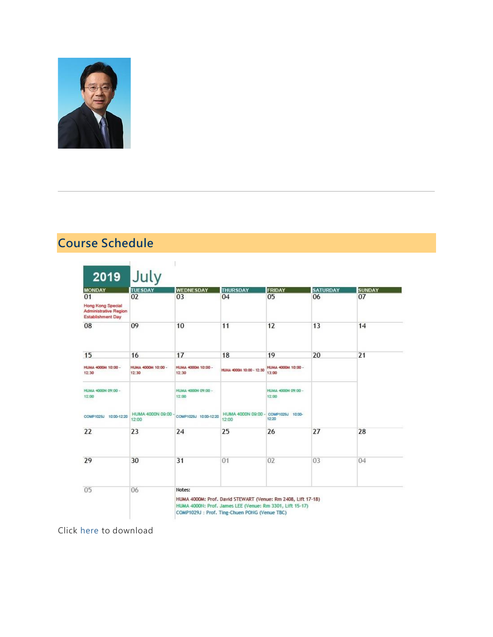

## **Course Schedule**

| <b>MONDAY</b>                                                          | <b>TUESDAY</b>              | <b>WEDNESDAY</b>            | <b>THURSDAY</b>           | <b>FRIDAY</b>               | <b>SATURDAY</b> | <b>SUNDAY</b> |
|------------------------------------------------------------------------|-----------------------------|-----------------------------|---------------------------|-----------------------------|-----------------|---------------|
| 01                                                                     | 02                          | 03                          | 04                        | 05                          | 06              | 07            |
| Hong Kong Special<br><b>Administrative Region</b><br>Establishment Day |                             |                             |                           |                             |                 |               |
| 08                                                                     | 09                          | 10                          | 11                        | 12                          | 13              | 14            |
| 15                                                                     | 16                          | 17                          | 18                        | 19                          | 20              | 21            |
| HUMA 4000M 10:00 -<br>12:30                                            | HUMA 4000M 10:00 -<br>12:30 | HUMA 4000M 10:00 -<br>12:30 | HUMA 4000M 10:00 - 12:30  | HUMA 4000M 10:00 -<br>13:00 |                 |               |
| HUMA 4000N 09:00 -<br>12:00                                            |                             | HUMA 4000N 09:00 -<br>12:00 |                           | HUMA 4000N 09:00 -<br>12:00 |                 |               |
| COMP1029J 10:00-12:20                                                  | HUMA 4000N 09:00<br>12:00   | COMP1029J 10:00-12:20       | HUMA 4000N 09:00<br>12:00 | COMP1029J 10:00-<br>12:20   |                 |               |
| 22                                                                     | 23                          | 24                          | 25                        | 26                          | 27              | 28            |
| 29                                                                     | 30                          | 31                          | 01                        | 02                          | 03              | 04            |
|                                                                        |                             |                             |                           |                             |                 |               |
| 05                                                                     | 06                          | Notes:                      |                           |                             |                 |               |

Click [here](https://shss.hkust.edu.hk/wp-content/uploads/sites/3/2019/04/Timetable.pdf) to download